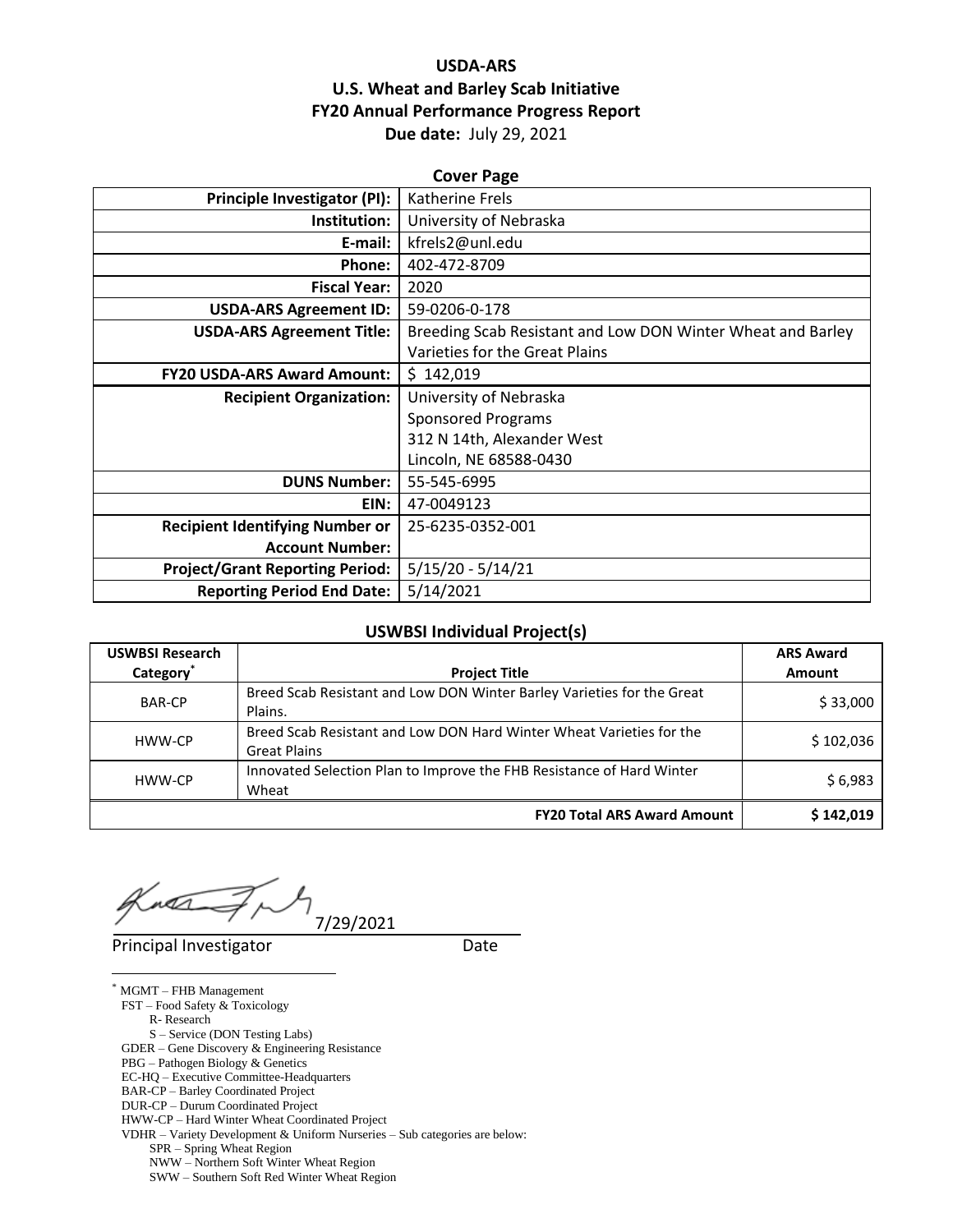## **USDA-ARS U.S. Wheat and Barley Scab Initiative FY20 Annual Performance Progress Report Due date:** July 29, 2021

| <b>Cover Page</b>                      |                                                             |  |  |  |
|----------------------------------------|-------------------------------------------------------------|--|--|--|
| <b>Principle Investigator (PI):</b>    | <b>Katherine Frels</b>                                      |  |  |  |
| Institution:                           | University of Nebraska                                      |  |  |  |
| E-mail:                                | kfrels2@unl.edu                                             |  |  |  |
| Phone:                                 | 402-472-8709                                                |  |  |  |
| <b>Fiscal Year:</b>                    | 2020                                                        |  |  |  |
| <b>USDA-ARS Agreement ID:</b>          | 59-0206-0-178                                               |  |  |  |
| <b>USDA-ARS Agreement Title:</b>       | Breeding Scab Resistant and Low DON Winter Wheat and Barley |  |  |  |
|                                        | Varieties for the Great Plains                              |  |  |  |
| <b>FY20 USDA-ARS Award Amount:</b>     | \$142,019                                                   |  |  |  |
| <b>Recipient Organization:</b>         | University of Nebraska                                      |  |  |  |
|                                        | <b>Sponsored Programs</b>                                   |  |  |  |
|                                        | 312 N 14th, Alexander West                                  |  |  |  |
|                                        | Lincoln, NE 68588-0430                                      |  |  |  |
| <b>DUNS Number:</b>                    | 55-545-6995                                                 |  |  |  |
| EIN:                                   | 47-0049123                                                  |  |  |  |
| <b>Recipient Identifying Number or</b> | 25-6235-0352-001                                            |  |  |  |
| <b>Account Number:</b>                 |                                                             |  |  |  |
| <b>Project/Grant Reporting Period:</b> | $5/15/20 - 5/14/21$                                         |  |  |  |
| <b>Reporting Period End Date:</b>      | 5/14/2021                                                   |  |  |  |

## **USWBSI Individual Project(s)**

| <b>USWBSI Research</b> |                                                                                             | <b>ARS Award</b> |
|------------------------|---------------------------------------------------------------------------------------------|------------------|
| Category <sup>*</sup>  | <b>Project Title</b>                                                                        | <b>Amount</b>    |
| <b>BAR-CP</b>          | Breed Scab Resistant and Low DON Winter Barley Varieties for the Great<br>Plains.           | \$33,000         |
| HWW-CP                 | Breed Scab Resistant and Low DON Hard Winter Wheat Varieties for the<br><b>Great Plains</b> | \$102,036        |
| HWW-CP                 | Innovated Selection Plan to Improve the FHB Resistance of Hard Winter<br>Wheat              | \$6,983          |
|                        | <b>FY20 Total ARS Award Amount</b>                                                          | \$142,019        |

Kna 7/29/2021

Principal Investigator **Date** 

\* MGMT – FHB Management FST – Food Safety & Toxicology R- Research S – Service (DON Testing Labs) GDER – Gene Discovery & Engineering Resistance PBG – Pathogen Biology & Genetics EC-HQ – Executive Committee-Headquarters BAR-CP – Barley Coordinated Project DUR-CP – Durum Coordinated Project HWW-CP – Hard Winter Wheat Coordinated Project VDHR – Variety Development & Uniform Nurseries – Sub categories are below: SPR – Spring Wheat Region NWW – Northern Soft Winter Wheat Region SWW – Southern Soft Red Winter Wheat Region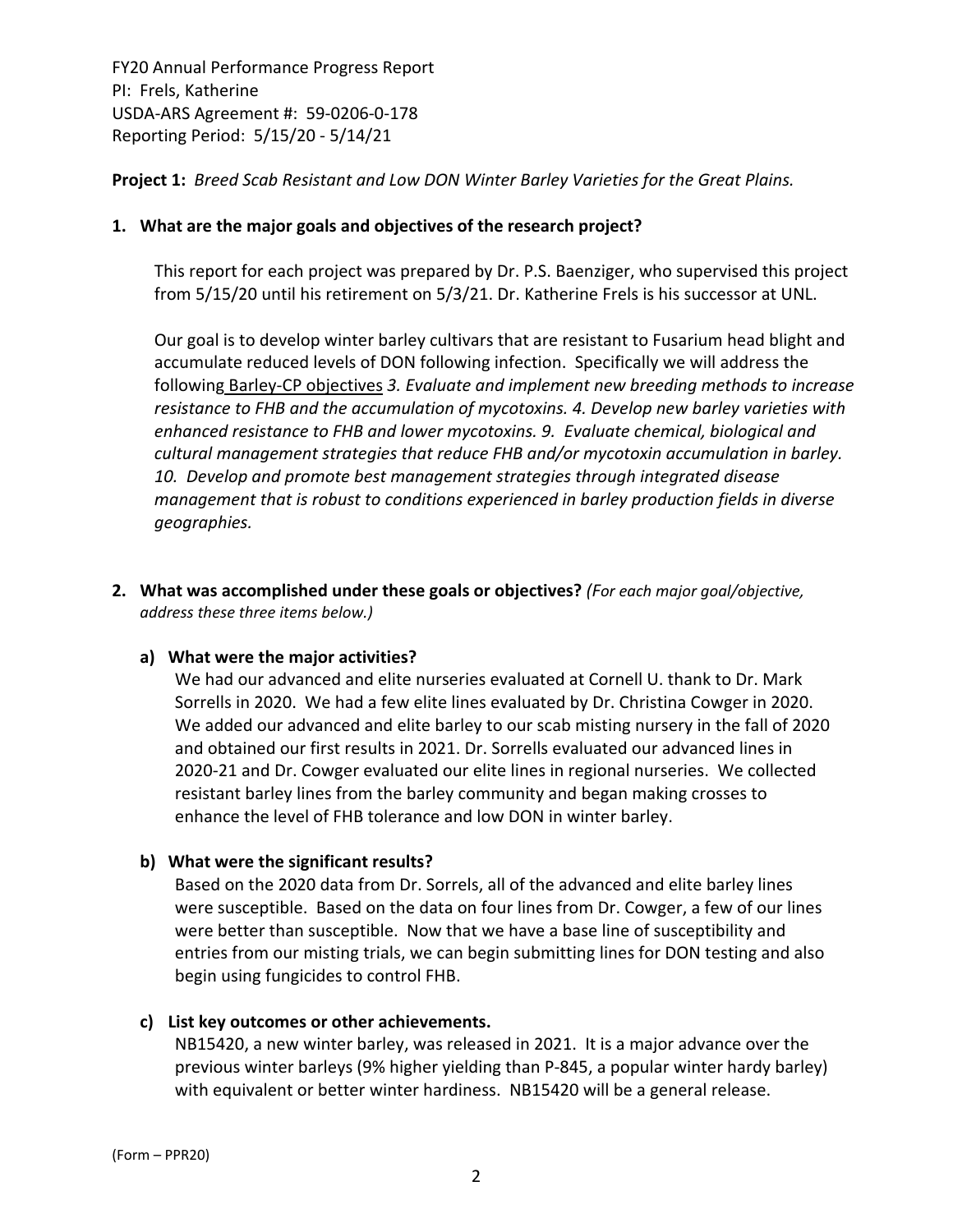**Project 1:** *Breed Scab Resistant and Low DON Winter Barley Varieties for the Great Plains.*

## **1. What are the major goals and objectives of the research project?**

This report for each project was prepared by Dr. P.S. Baenziger, who supervised this project from 5/15/20 until his retirement on 5/3/21. Dr. Katherine Frels is his successor at UNL.

Our goal is to develop winter barley cultivars that are resistant to Fusarium head blight and accumulate reduced levels of DON following infection. Specifically we will address the following Barley‐CP objectives *3. Evaluate and implement new breeding methods to increase resistance to FHB and the accumulation of mycotoxins. 4. Develop new barley varieties with enhanced resistance to FHB and lower mycotoxins. 9. Evaluate chemical, biological and cultural management strategies that reduce FHB and/or mycotoxin accumulation in barley. 10. Develop and promote best management strategies through integrated disease management that is robust to conditions experienced in barley production fields in diverse geographies.*

**2. What was accomplished under these goals or objectives?** *(For each major goal/objective, address these three items below.)*

## **a) What were the major activities?**

We had our advanced and elite nurseries evaluated at Cornell U. thank to Dr. Mark Sorrells in 2020. We had a few elite lines evaluated by Dr. Christina Cowger in 2020. We added our advanced and elite barley to our scab misting nursery in the fall of 2020 and obtained our first results in 2021. Dr. Sorrells evaluated our advanced lines in 2020‐21 and Dr. Cowger evaluated our elite lines in regional nurseries. We collected resistant barley lines from the barley community and began making crosses to enhance the level of FHB tolerance and low DON in winter barley.

## **b) What were the significant results?**

Based on the 2020 data from Dr. Sorrels, all of the advanced and elite barley lines were susceptible. Based on the data on four lines from Dr. Cowger, a few of our lines were better than susceptible. Now that we have a base line of susceptibility and entries from our misting trials, we can begin submitting lines for DON testing and also begin using fungicides to control FHB.

## **c) List key outcomes or other achievements.**

NB15420, a new winter barley, was released in 2021. It is a major advance over the previous winter barleys (9% higher yielding than P‐845, a popular winter hardy barley) with equivalent or better winter hardiness. NB15420 will be a general release.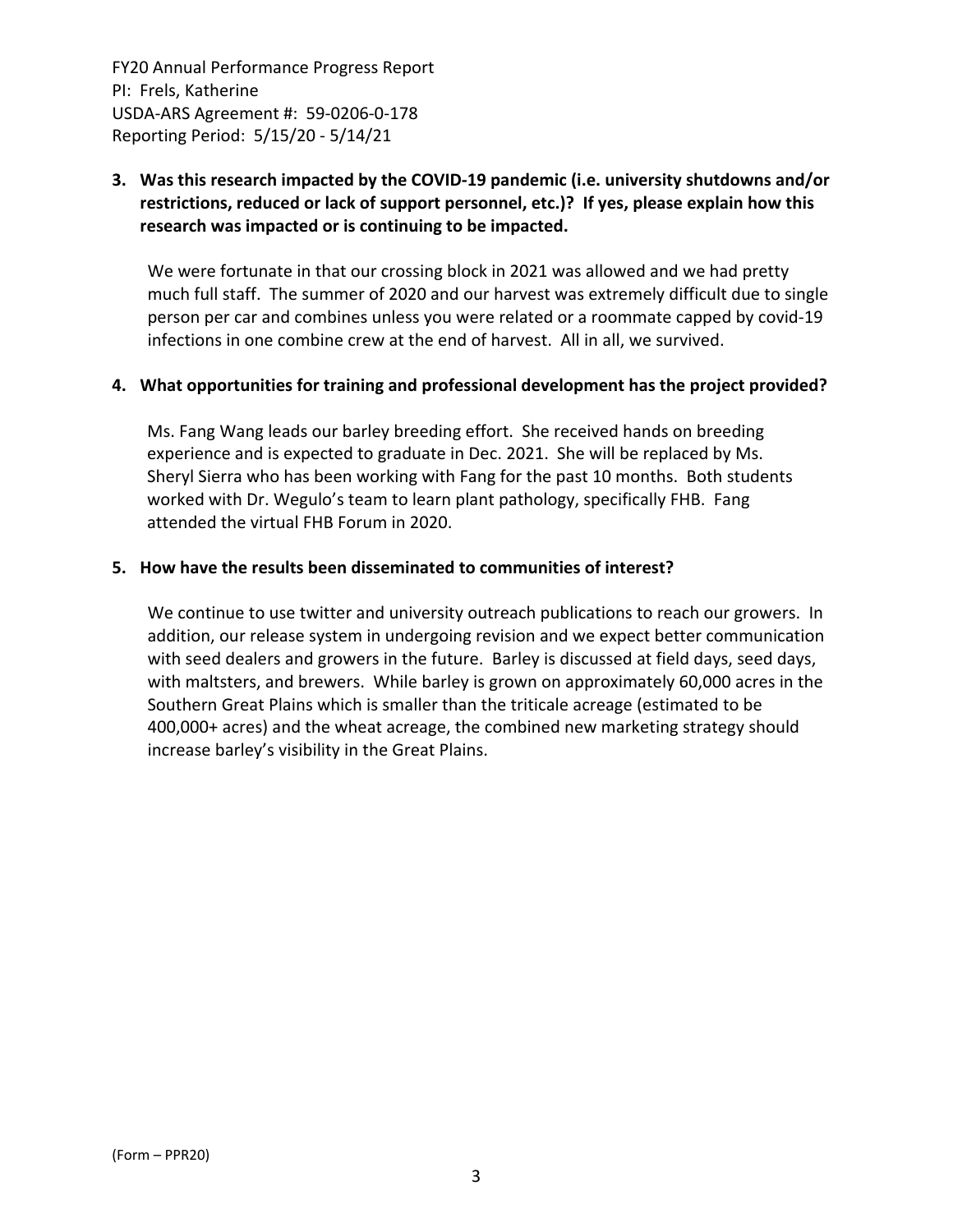# **3. Was this research impacted by the COVID‐19 pandemic (i.e. university shutdowns and/or restrictions, reduced or lack of support personnel, etc.)? If yes, please explain how this research was impacted or is continuing to be impacted.**

We were fortunate in that our crossing block in 2021 was allowed and we had pretty much full staff. The summer of 2020 and our harvest was extremely difficult due to single person per car and combines unless you were related or a roommate capped by covid‐19 infections in one combine crew at the end of harvest. All in all, we survived.

## **4. What opportunities for training and professional development has the project provided?**

Ms. Fang Wang leads our barley breeding effort. She received hands on breeding experience and is expected to graduate in Dec. 2021. She will be replaced by Ms. Sheryl Sierra who has been working with Fang for the past 10 months. Both students worked with Dr. Wegulo's team to learn plant pathology, specifically FHB. Fang attended the virtual FHB Forum in 2020.

## **5. How have the results been disseminated to communities of interest?**

We continue to use twitter and university outreach publications to reach our growers. In addition, our release system in undergoing revision and we expect better communication with seed dealers and growers in the future. Barley is discussed at field days, seed days, with maltsters, and brewers. While barley is grown on approximately 60,000 acres in the Southern Great Plains which is smaller than the triticale acreage (estimated to be 400,000+ acres) and the wheat acreage, the combined new marketing strategy should increase barley's visibility in the Great Plains.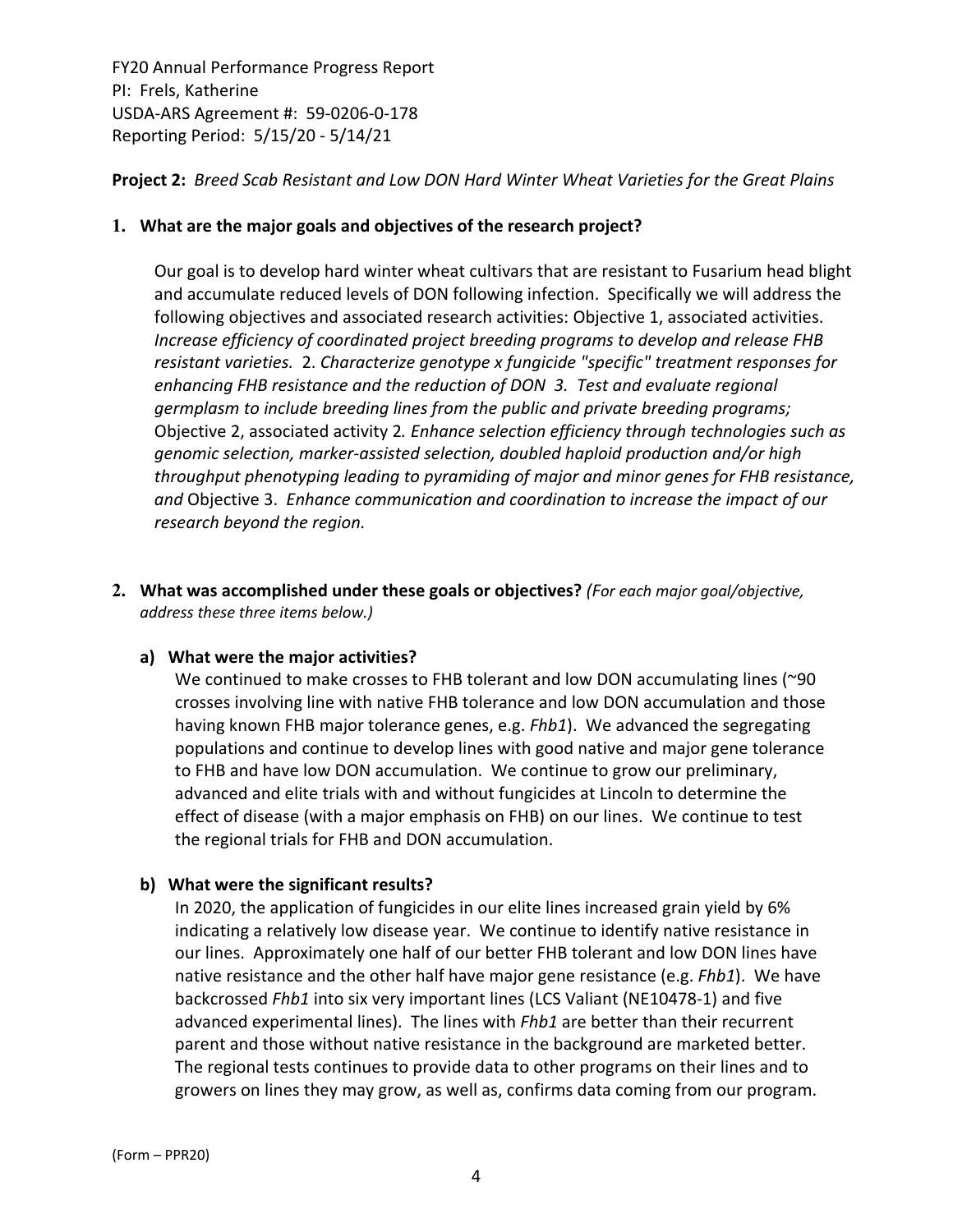**Project 2:** *Breed Scab Resistant and Low DON Hard Winter Wheat Varieties for the Great Plains*

## **1. What are the major goals and objectives of the research project?**

Our goal is to develop hard winter wheat cultivars that are resistant to Fusarium head blight and accumulate reduced levels of DON following infection. Specifically we will address the following objectives and associated research activities: Objective 1, associated activities. *Increase efficiency of coordinated project breeding programs to develop and release FHB resistant varieties.* 2. *Characterize genotype x fungicide "specific" treatment responses for enhancing FHB resistance and the reduction of DON 3. Test and evaluate regional germplasm to include breeding lines from the public and private breeding programs;* Objective 2, associated activity 2*. Enhance selection efficiency through technologies such as genomic selection, marker‐assisted selection, doubled haploid production and/or high throughput phenotyping leading to pyramiding of major and minor genes for FHB resistance, and* Objective 3.*Enhance communication and coordination to increase the impact of our research beyond the region.* 

**2. What was accomplished under these goals or objectives?** *(For each major goal/objective, address these three items below.)*

## **a) What were the major activities?**

We continued to make crosses to FHB tolerant and low DON accumulating lines (~90 crosses involving line with native FHB tolerance and low DON accumulation and those having known FHB major tolerance genes, e.g. *Fhb1*). We advanced the segregating populations and continue to develop lines with good native and major gene tolerance to FHB and have low DON accumulation. We continue to grow our preliminary, advanced and elite trials with and without fungicides at Lincoln to determine the effect of disease (with a major emphasis on FHB) on our lines. We continue to test the regional trials for FHB and DON accumulation.

## **b) What were the significant results?**

In 2020, the application of fungicides in our elite lines increased grain yield by 6% indicating a relatively low disease year. We continue to identify native resistance in our lines. Approximately one half of our better FHB tolerant and low DON lines have native resistance and the other half have major gene resistance (e.g. *Fhb1*). We have backcrossed *Fhb1* into six very important lines (LCS Valiant (NE10478‐1) and five advanced experimental lines). The lines with *Fhb1* are better than their recurrent parent and those without native resistance in the background are marketed better. The regional tests continues to provide data to other programs on their lines and to growers on lines they may grow, as well as, confirms data coming from our program.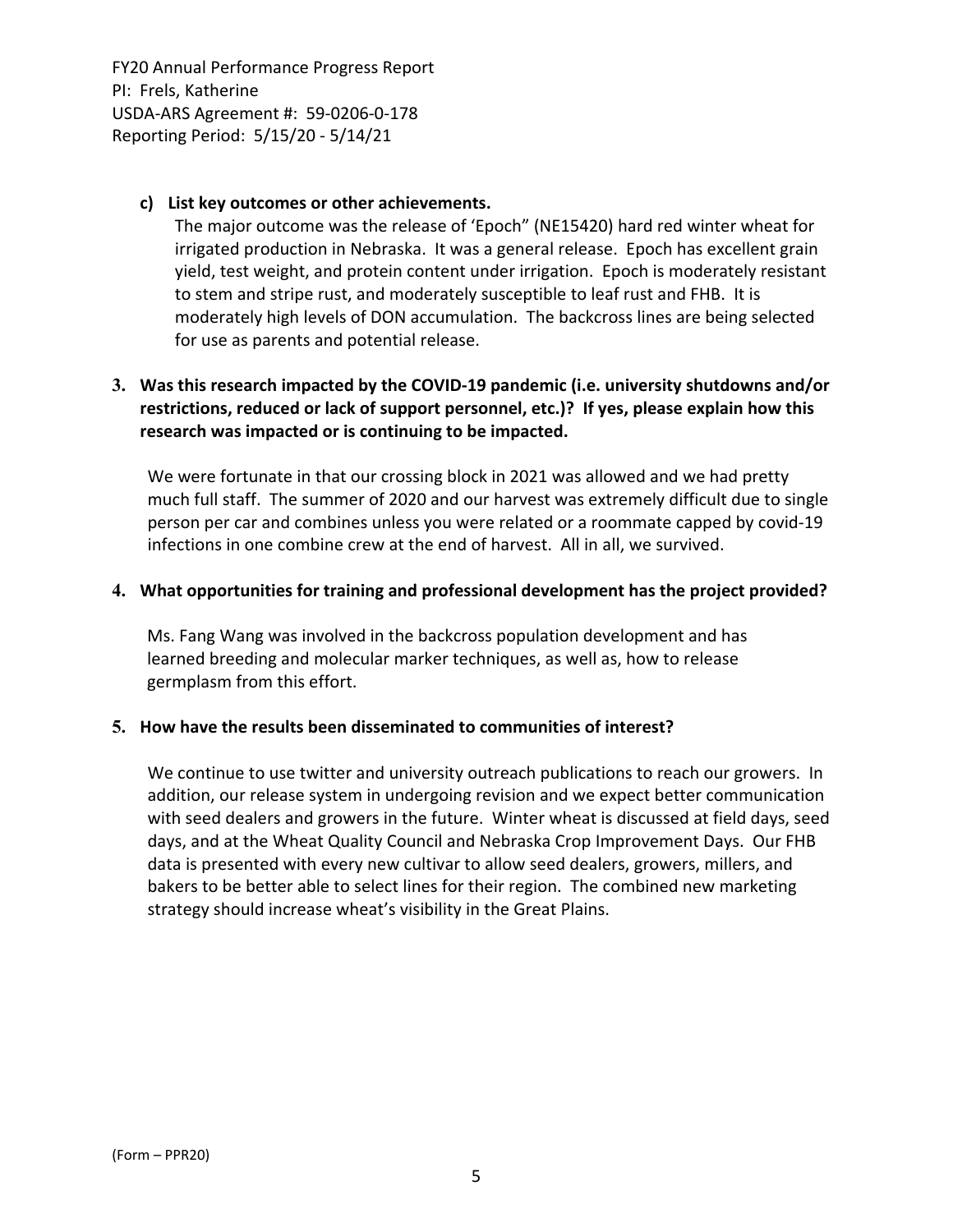## **c) List key outcomes or other achievements.**

The major outcome was the release of 'Epoch" (NE15420) hard red winter wheat for irrigated production in Nebraska. It was a general release. Epoch has excellent grain yield, test weight, and protein content under irrigation. Epoch is moderately resistant to stem and stripe rust, and moderately susceptible to leaf rust and FHB. It is moderately high levels of DON accumulation. The backcross lines are being selected for use as parents and potential release.

# **3. Was this research impacted by the COVID‐19 pandemic (i.e. university shutdowns and/or restrictions, reduced or lack of support personnel, etc.)? If yes, please explain how this research was impacted or is continuing to be impacted.**

We were fortunate in that our crossing block in 2021 was allowed and we had pretty much full staff. The summer of 2020 and our harvest was extremely difficult due to single person per car and combines unless you were related or a roommate capped by covid‐19 infections in one combine crew at the end of harvest. All in all, we survived.

## **4. What opportunities for training and professional development has the project provided?**

Ms. Fang Wang was involved in the backcross population development and has learned breeding and molecular marker techniques, as well as, how to release germplasm from this effort.

## **5. How have the results been disseminated to communities of interest?**

We continue to use twitter and university outreach publications to reach our growers. In addition, our release system in undergoing revision and we expect better communication with seed dealers and growers in the future. Winter wheat is discussed at field days, seed days, and at the Wheat Quality Council and Nebraska Crop Improvement Days. Our FHB data is presented with every new cultivar to allow seed dealers, growers, millers, and bakers to be better able to select lines for their region. The combined new marketing strategy should increase wheat's visibility in the Great Plains.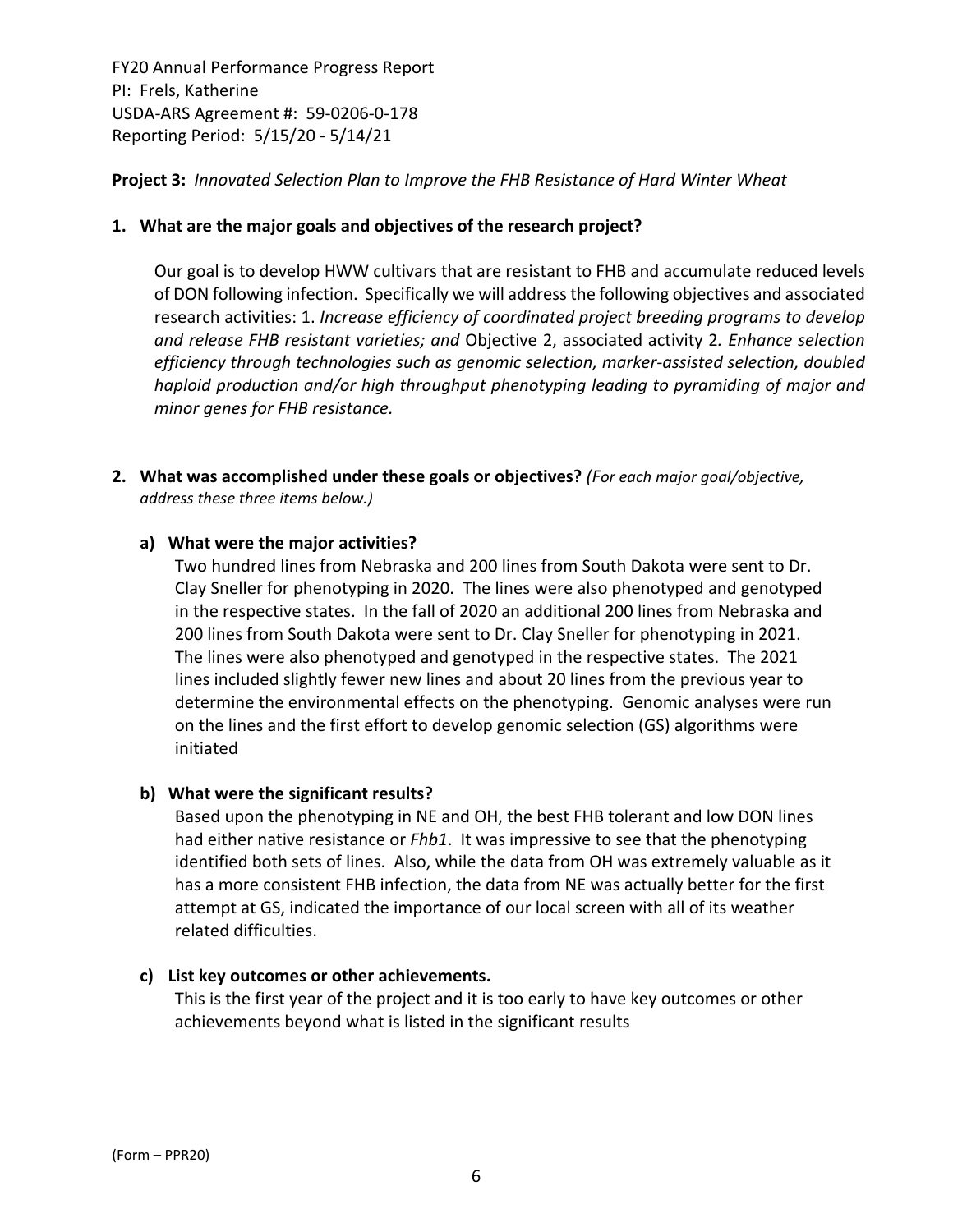## **Project 3:** *Innovated Selection Plan to Improve the FHB Resistance of Hard Winter Wheat*

## **1. What are the major goals and objectives of the research project?**

Our goal is to develop HWW cultivars that are resistant to FHB and accumulate reduced levels of DON following infection. Specifically we will addressthe following objectives and associated research activities: 1. *Increase efficiency of coordinated project breeding programs to develop and release FHB resistant varieties; and* Objective 2, associated activity 2*. Enhance selection efficiency through technologies such as genomic selection, marker‐assisted selection, doubled haploid production and/or high throughput phenotyping leading to pyramiding of major and minor genes for FHB resistance.* 

**2. What was accomplished under these goals or objectives?** *(For each major goal/objective, address these three items below.)*

## **a) What were the major activities?**

Two hundred lines from Nebraska and 200 lines from South Dakota were sent to Dr. Clay Sneller for phenotyping in 2020. The lines were also phenotyped and genotyped in the respective states. In the fall of 2020 an additional 200 lines from Nebraska and 200 lines from South Dakota were sent to Dr. Clay Sneller for phenotyping in 2021. The lines were also phenotyped and genotyped in the respective states. The 2021 lines included slightly fewer new lines and about 20 lines from the previous year to determine the environmental effects on the phenotyping. Genomic analyses were run on the lines and the first effort to develop genomic selection (GS) algorithms were initiated

## **b) What were the significant results?**

Based upon the phenotyping in NE and OH, the best FHB tolerant and low DON lines had either native resistance or *Fhb1*. It was impressive to see that the phenotyping identified both sets of lines. Also, while the data from OH was extremely valuable as it has a more consistent FHB infection, the data from NE was actually better for the first attempt at GS, indicated the importance of our local screen with all of its weather related difficulties.

## **c) List key outcomes or other achievements.**

This is the first year of the project and it is too early to have key outcomes or other achievements beyond what is listed in the significant results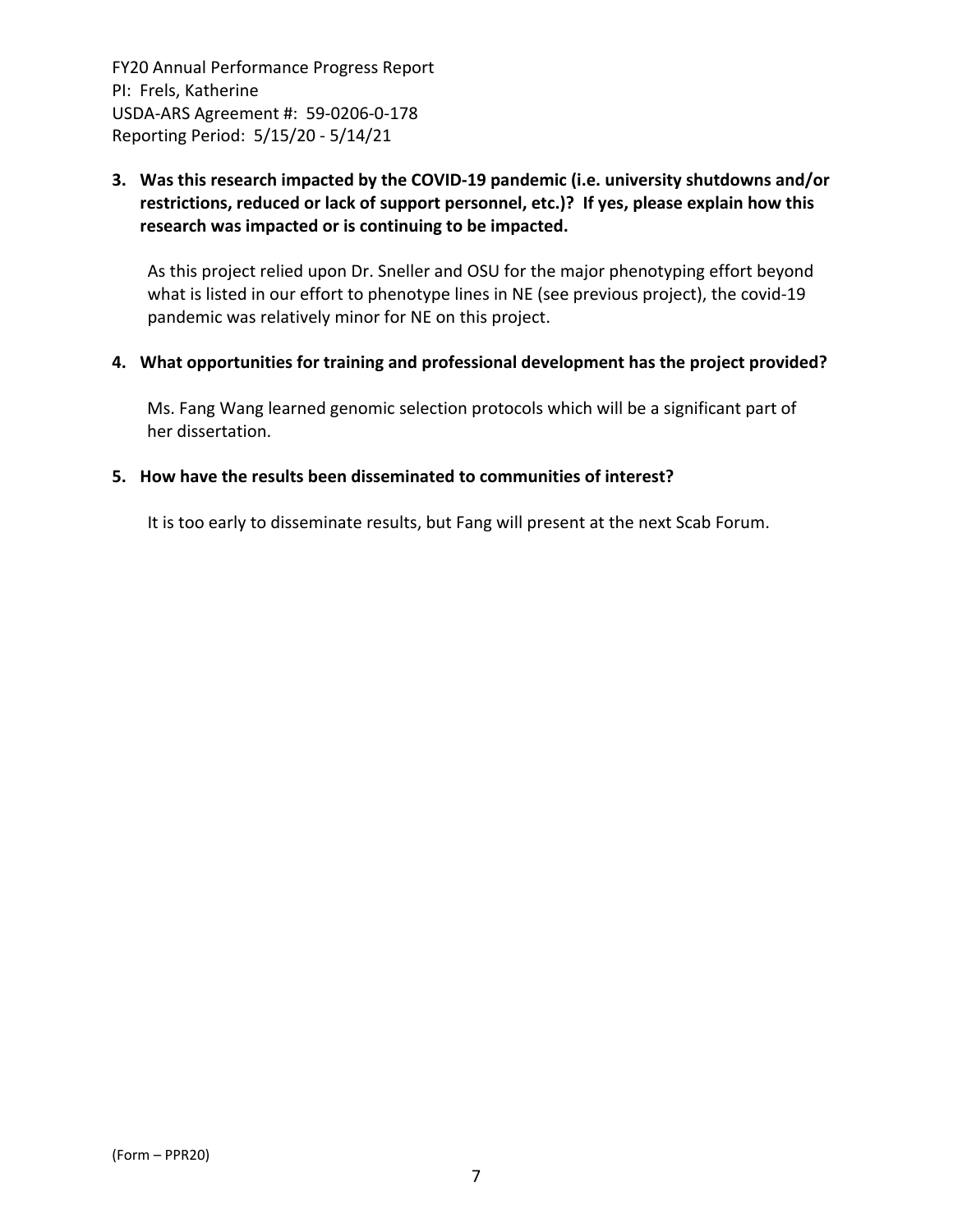# **3. Was this research impacted by the COVID‐19 pandemic (i.e. university shutdowns and/or restrictions, reduced or lack of support personnel, etc.)? If yes, please explain how this research was impacted or is continuing to be impacted.**

As this project relied upon Dr. Sneller and OSU for the major phenotyping effort beyond what is listed in our effort to phenotype lines in NE (see previous project), the covid-19 pandemic was relatively minor for NE on this project.

## **4. What opportunities for training and professional development has the project provided?**

Ms. Fang Wang learned genomic selection protocols which will be a significant part of her dissertation.

## **5. How have the results been disseminated to communities of interest?**

It is too early to disseminate results, but Fang will present at the next Scab Forum.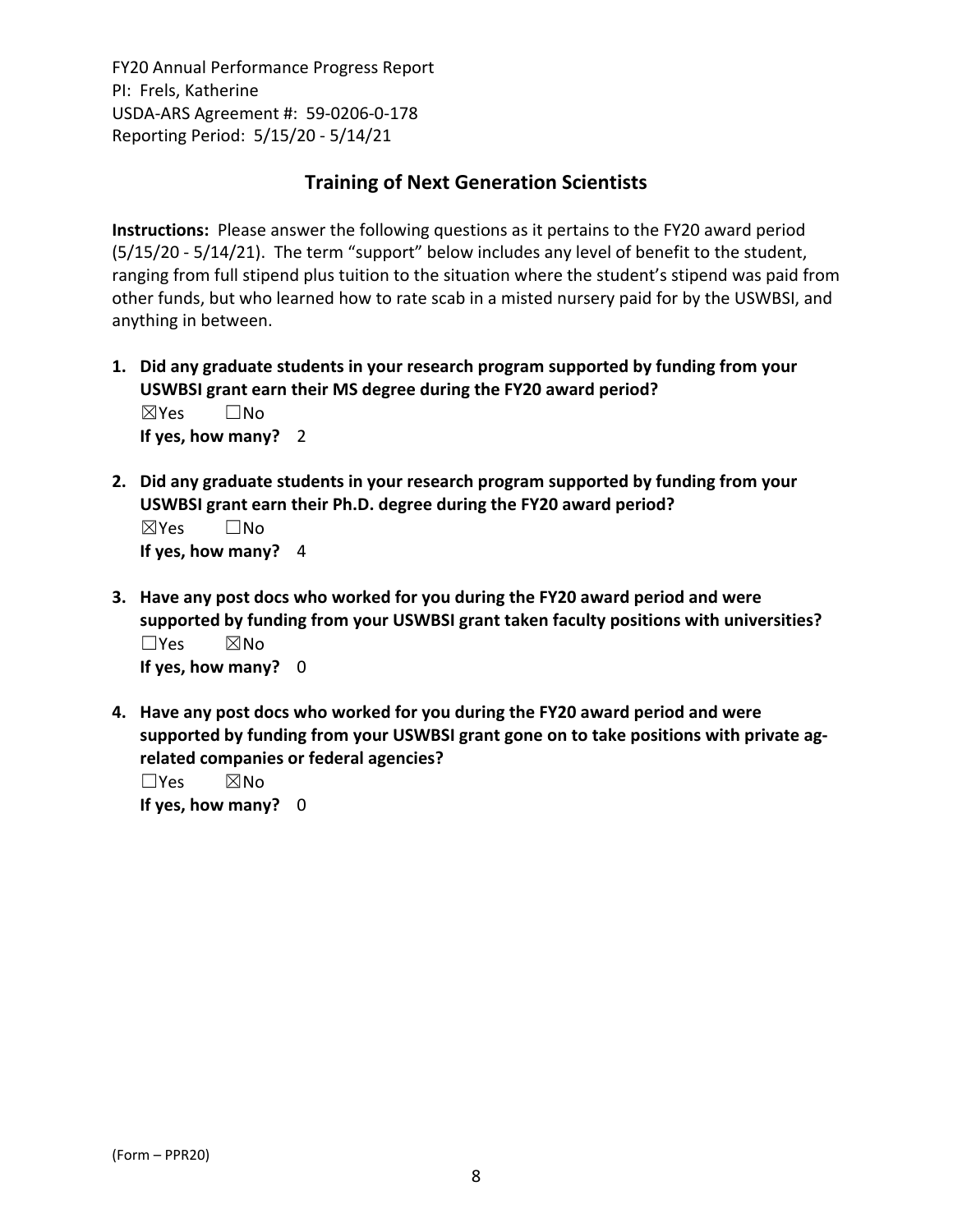# **Training of Next Generation Scientists**

**Instructions:** Please answer the following questions as it pertains to the FY20 award period (5/15/20 ‐ 5/14/21). The term "support" below includes any level of benefit to the student, ranging from full stipend plus tuition to the situation where the student's stipend was paid from other funds, but who learned how to rate scab in a misted nursery paid for by the USWBSI, and anything in between.

- **1. Did any graduate students in your research program supported by funding from your USWBSI grant earn their MS degree during the FY20 award period?** ☒Yes ☐No **If yes, how many?** 2
- **2. Did any graduate students in your research program supported by funding from your USWBSI grant earn their Ph.D. degree during the FY20 award period?** ☒Yes ☐No **If yes, how many?** 4
- **3. Have any post docs who worked for you during the FY20 award period and were supported by funding from your USWBSI grant taken faculty positions with universities?** ☐Yes ☒No **If yes, how many?** 0
- **4. Have any post docs who worked for you during the FY20 award period and were supported by funding from your USWBSI grant gone on to take positions with private ag‐ related companies or federal agencies?**

☐Yes ☒No **If yes, how many?** 0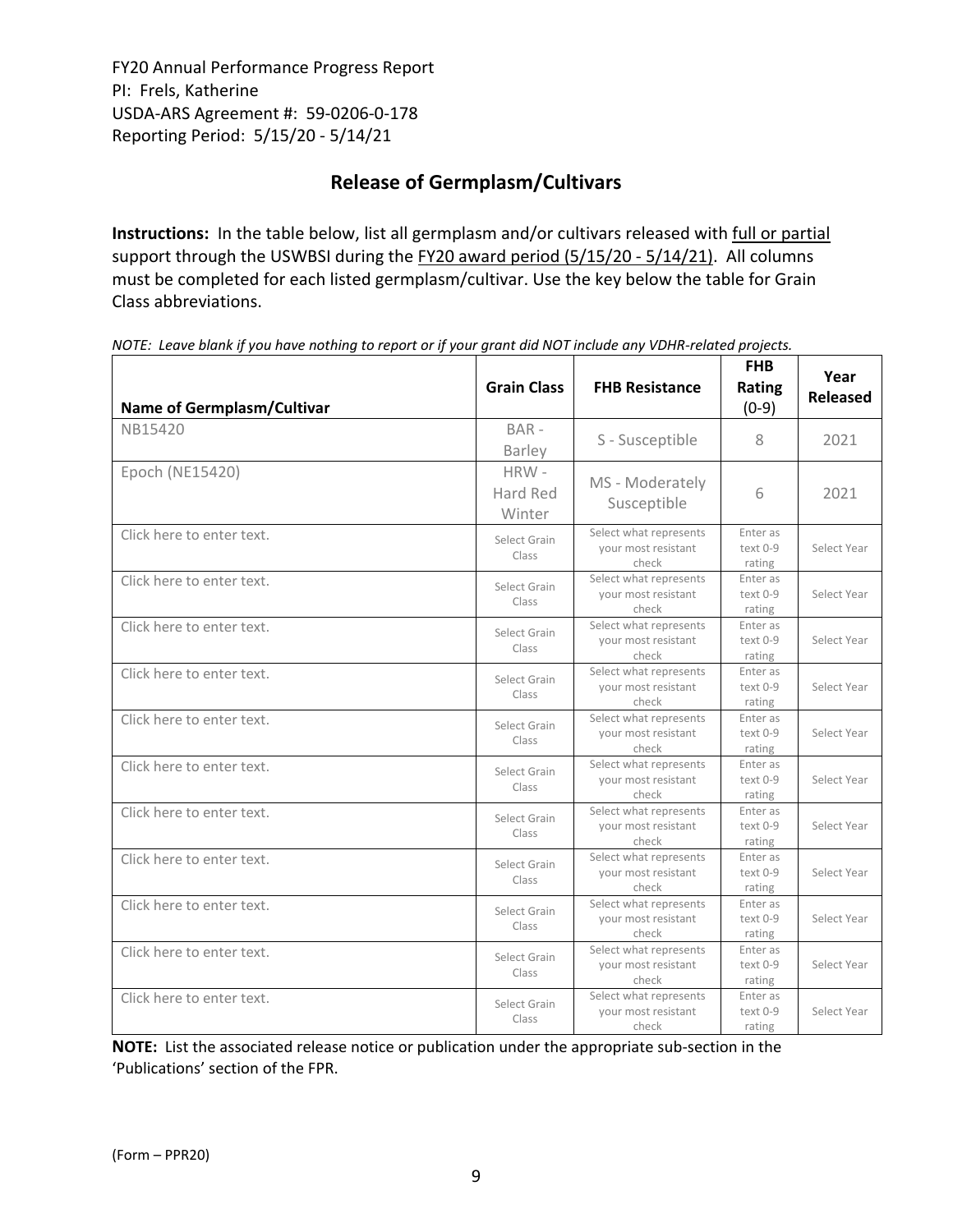# **Release of Germplasm/Cultivars**

**Instructions:** In the table below, list all germplasm and/or cultivars released with full or partial support through the USWBSI during the FY20 award period (5/15/20 - 5/14/21). All columns must be completed for each listed germplasm/cultivar. Use the key below the table for Grain Class abbreviations. 

| <b>Name of Germplasm/Cultivar</b> | <b>Grain Class</b>            | <b>FHB Resistance</b>                                  | <b>FHB</b><br>Rating<br>$(0-9)$ | Year<br><b>Released</b> |
|-----------------------------------|-------------------------------|--------------------------------------------------------|---------------------------------|-------------------------|
| NB15420                           | BAR-<br>Barley                | S - Susceptible                                        | 8                               | 2021                    |
| Epoch (NE15420)                   | $HRW -$<br>Hard Red<br>Winter | MS - Moderately<br>Susceptible                         | 6                               | 2021                    |
| Click here to enter text.         | Select Grain<br>Class         | Select what represents<br>your most resistant<br>check | Enter as<br>text 0-9<br>rating  | Select Year             |
| Click here to enter text.         | Select Grain<br>Class         | Select what represents<br>your most resistant<br>check | Enter as<br>text 0-9<br>rating  | Select Year             |
| Click here to enter text.         | Select Grain<br>Class         | Select what represents<br>your most resistant<br>check | Enter as<br>text 0-9<br>rating  | Select Year             |
| Click here to enter text.         | Select Grain<br>Class         | Select what represents<br>your most resistant<br>check | Enter as<br>text 0-9<br>rating  | Select Year             |
| Click here to enter text.         | Select Grain<br>Class         | Select what represents<br>your most resistant<br>check | Enter as<br>text 0-9<br>rating  | Select Year             |
| Click here to enter text.         | Select Grain<br>Class         | Select what represents<br>your most resistant<br>check | Enter as<br>text 0-9<br>rating  | Select Year             |
| Click here to enter text.         | Select Grain<br>Class         | Select what represents<br>your most resistant<br>check | Enter as<br>text 0-9<br>rating  | Select Year             |
| Click here to enter text.         | Select Grain<br>Class         | Select what represents<br>your most resistant<br>check | Enter as<br>text 0-9<br>rating  | Select Year             |
| Click here to enter text.         | Select Grain<br>Class         | Select what represents<br>your most resistant<br>check | Enter as<br>text 0-9<br>rating  | Select Year             |
| Click here to enter text.         | Select Grain<br>Class         | Select what represents<br>your most resistant<br>check | Enter as<br>text 0-9<br>rating  | Select Year             |
| Click here to enter text.         | Select Grain<br>Class         | Select what represents<br>your most resistant<br>check | Enter as<br>text 0-9<br>rating  | Select Year             |

NOTE: Leave blank if you have nothing to report or if your grant did NOT include any VDHR-related projects.

**NOTE:** List the associated release notice or publication under the appropriate sub-section in the 'Publications' section of the FPR.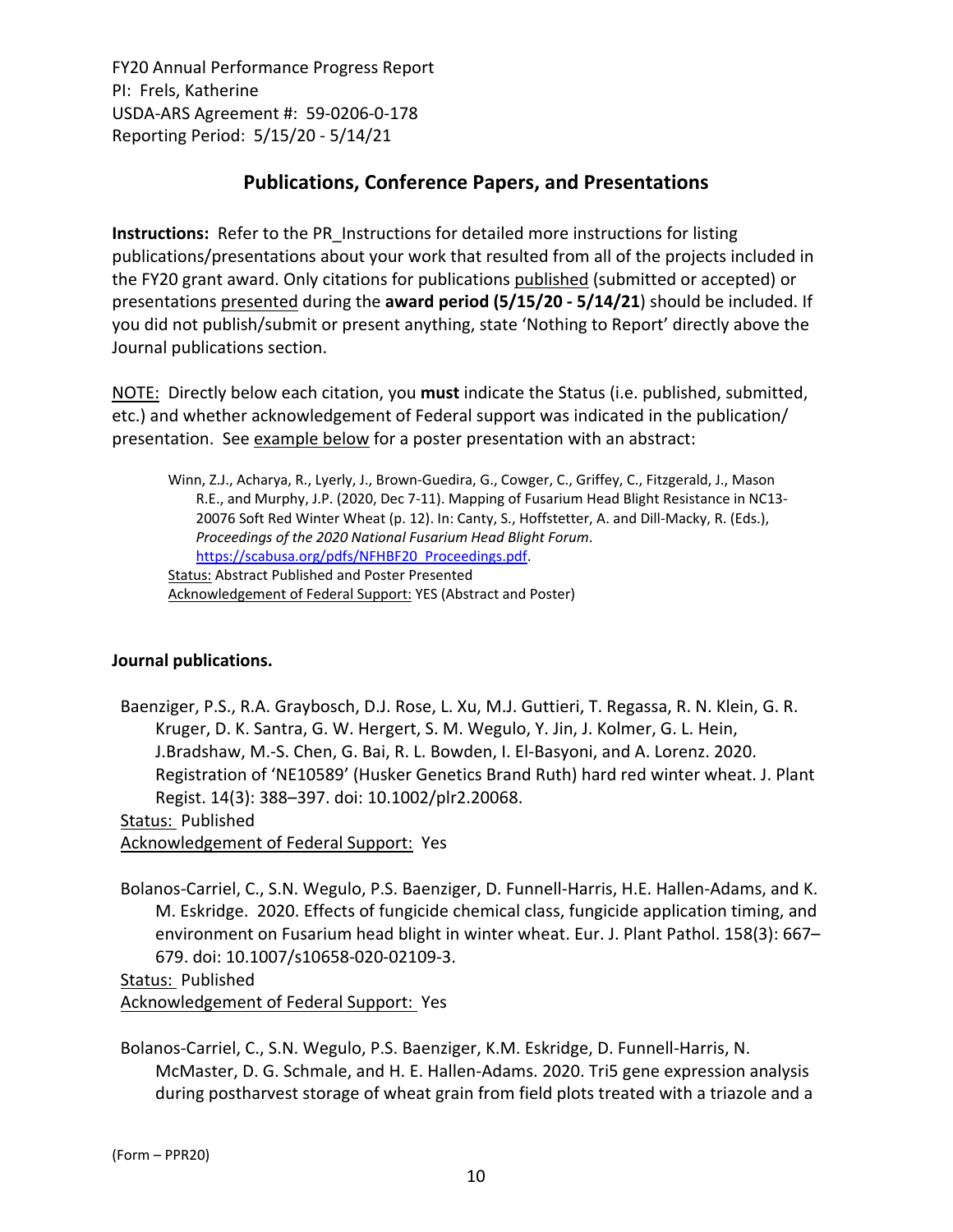# **Publications, Conference Papers, and Presentations**

**Instructions:** Refer to the PR\_Instructions for detailed more instructions for listing publications/presentations about your work that resulted from all of the projects included in the FY20 grant award. Only citations for publications published (submitted or accepted) or presentations presented during the **award period (5/15/20 ‐ 5/14/21**) should be included. If you did not publish/submit or present anything, state 'Nothing to Report' directly above the Journal publications section.

NOTE: Directly below each citation, you **must** indicate the Status (i.e. published, submitted, etc.) and whether acknowledgement of Federal support was indicated in the publication/ presentation. See example below for a poster presentation with an abstract:

Winn, Z.J., Acharya, R., Lyerly, J., Brown-Guedira, G., Cowger, C., Griffey, C., Fitzgerald, J., Mason R.E., and Murphy, J.P. (2020, Dec 7‐11). Mapping of Fusarium Head Blight Resistance in NC13‐ 20076 Soft Red Winter Wheat (p. 12). In: Canty, S., Hoffstetter, A. and Dill‐Macky, R. (Eds.), *Proceedings of the 2020 National Fusarium Head Blight [Forum](https://scabusa.org/pdfs/NFHBF20_Proceedings.pdf)*. https://scabusa.org/pdfs/NFHBF20\_Proceedings.pdf. Status: Abstract Published and Poster Presented Acknowledgement of Federal Support: YES (Abstract and Poster)

## **Journal publications.**

Baenziger, P.S., R.A. Graybosch, D.J. Rose, L. Xu, M.J. Guttieri, T. Regassa, R. N. Klein, G. R. Kruger, D. K. Santra, G. W. Hergert, S. M. Wegulo, Y. Jin, J. Kolmer, G. L. Hein, J.Bradshaw, M.‐S. Chen, G. Bai, R. L. Bowden, I. El‐Basyoni, and A. Lorenz. 2020. Registration of 'NE10589' (Husker Genetics Brand Ruth) hard red winter wheat. J. Plant Regist. 14(3): 388–397. doi: 10.1002/plr2.20068. Status: Published

Acknowledgement of Federal Support: Yes

Bolanos-Carriel, C., S.N. Wegulo, P.S. Baenziger, D. Funnell-Harris, H.E. Hallen-Adams, and K. M. Eskridge. 2020. Effects of fungicide chemical class, fungicide application timing, and environment on Fusarium head blight in winter wheat. Eur. J. Plant Pathol. 158(3): 667– 679. doi: 10.1007/s10658‐020‐02109‐3.

Status: Published

Acknowledgement of Federal Support: Yes

Bolanos‐Carriel, C., S.N. Wegulo, P.S. Baenziger, K.M. Eskridge, D. Funnell‐Harris, N. McMaster, D. G. Schmale, and H. E. Hallen‐Adams. 2020. Tri5 gene expression analysis during postharvest storage of wheat grain from field plots treated with a triazole and a